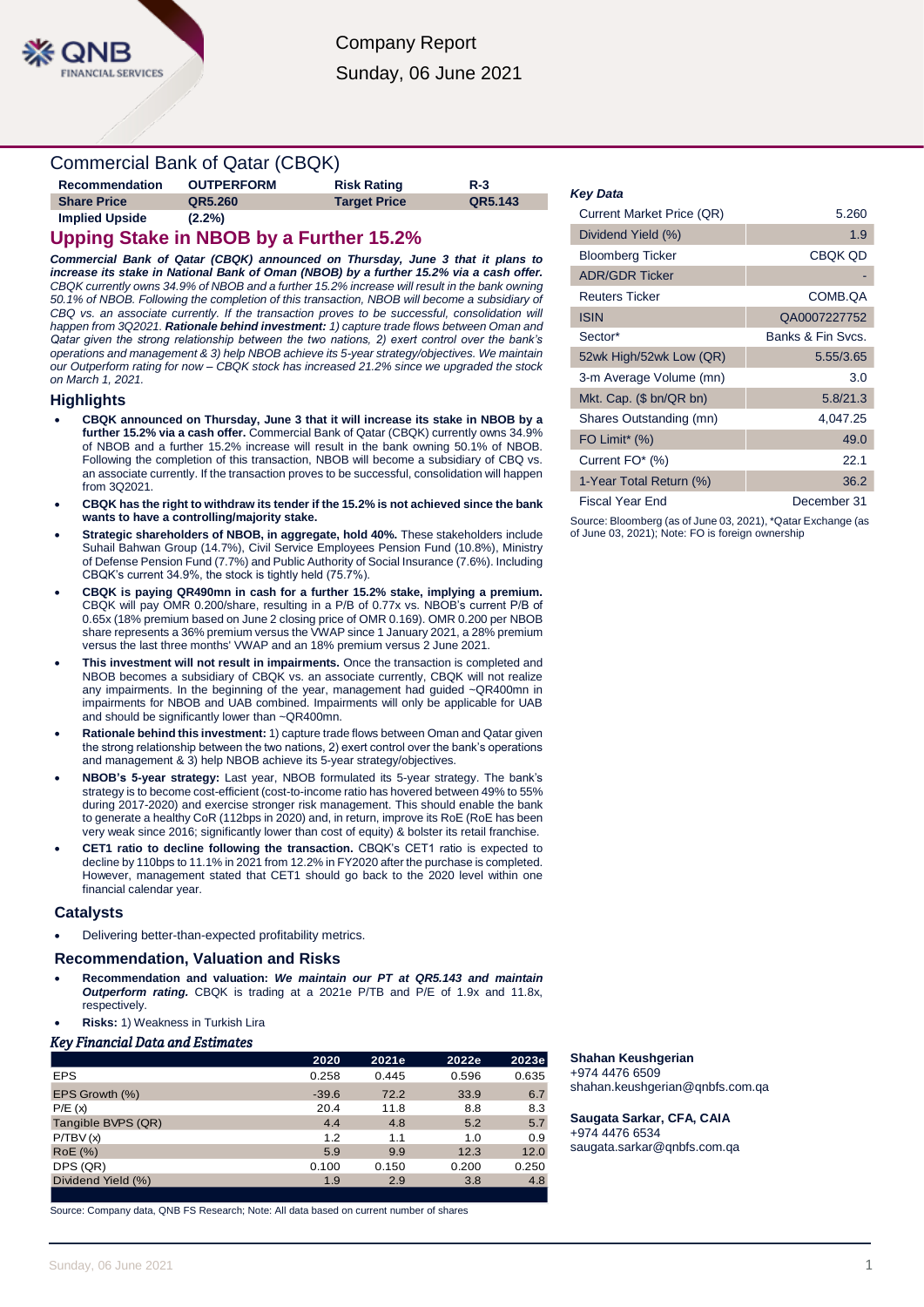### Commercial Bank of Qatar (CBQK)

| Recommendation     | <b>OUTPERFORM</b> | <b>Risk Rating</b>  | $R-3$   |
|--------------------|-------------------|---------------------|---------|
| <b>Share Price</b> | QR5.260           | <b>Target Price</b> | QR5.143 |
| Implied Upside     | (2.2%             |                     |         |

### **Upping Stake in NBOB by a Further 15.2%**

*Commercial Bank of Qatar (CBQK) announced on Thursday, June 3 that it plans to increase its stake in National Bank of Oman (NBOB) by a further 15.2% via a cash offer. CBQK currently owns 34.9% of NBOB and a further 15.2% increase will result in the bank owning 50.1% of NBOB. Following the completion of this transaction, NBOB will become a subsidiary of*  CBQ vs. an associate currently. If the transaction proves to be successful, consolidation will *happen from 3Q2021. Rationale behind investment: 1) capture trade flows between Oman and Qatar given the strong relationship between the two nations, 2) exert control over the bank's operations and management & 3) help NBOB achieve its 5-year strategy/objectives. We maintain our Outperform rating for now – CBQK stock has increased 21.2% since we upgraded the stock on March 1, 2021.*

#### **Highlights**

- **CBQK announced on Thursday, June 3 that it will increase its stake in NBOB by a further 15.2% via a cash offer.** Commercial Bank of Qatar (CBQK) currently owns 34.9% of NBOB and a further 15.2% increase will result in the bank owning 50.1% of NBOB. Following the completion of this transaction, NBOB will become a subsidiary of CBQ vs. an associate currently. If the transaction proves to be successful, consolidation will happen from 3Q2021.
- **CBQK has the right to withdraw its tender if the 15.2% is not achieved since the bank wants to have a controlling/majority stake.**
- **Strategic shareholders of NBOB, in aggregate, hold 40%.** These stakeholders include Suhail Bahwan Group (14.7%), Civil Service Employees Pension Fund (10.8%), Ministry of Defense Pension Fund (7.7%) and Public Authority of Social Insurance (7.6%). Including CBQK's current 34.9%, the stock is tightly held (75.7%).
- **CBQK is paying QR490mn in cash for a further 15.2% stake, implying a premium.** CBQK will pay OMR 0.200/share, resulting in a P/B of 0.77x vs. NBOB's current P/B of 0.65x (18% premium based on June 2 closing price of OMR 0.169). OMR 0.200 per NBOB share represents a 36% premium versus the VWAP since 1 January 2021, a 28% premium versus the last three months' VWAP and an 18% premium versus 2 June 2021.
- **This investment will not result in impairments.** Once the transaction is completed and NBOB becomes a subsidiary of CBQK vs. an associate currently, CBQK will not realize any impairments. In the beginning of the year, management had guided ~QR400mn in impairments for NBOB and UAB combined. Impairments will only be applicable for UAB and should be significantly lower than ~QR400mn.
- **Rationale behind this investment:** 1) capture trade flows between Oman and Qatar given the strong relationship between the two nations, 2) exert control over the bank's operations and management & 3) help NBOB achieve its 5-year strategy/objectives.
- **NBOB's 5-year strategy:** Last year, NBOB formulated its 5-year strategy. The bank's strategy is to become cost-efficient (cost-to-income ratio has hovered between 49% to 55% during 2017-2020) and exercise stronger risk management. This should enable the bank to generate a healthy CoR (112bps in 2020) and, in return, improve its RoE (RoE has been very weak since 2016; significantly lower than cost of equity) & bolster its retail franchise.
- **CET1 ratio to decline following the transaction.** CBQK's CET1 ratio is expected to decline by 110bps to 11.1% in 2021 from 12.2% in FY2020 after the purchase is completed. However, management stated that CET1 should go back to the 2020 level within one financial calendar year.

#### **Catalysts**

Delivering better-than-expected profitability metrics.

#### **Recommendation, Valuation and Risks**

- **Recommendation and valuation:** *We maintain our PT at QR5.143 and maintain Outperform rating.* CBQK is trading at a 2021e P/TB and P/E of 1.9x and 11.8x, respectively.
- **Risks:** 1) Weakness in Turkish Lira

#### *Key Financial Data and Estimates*

|                    | 2020    | 2021e | 2022e | 2023e |
|--------------------|---------|-------|-------|-------|
| <b>EPS</b>         | 0.258   | 0.445 | 0.596 | 0.635 |
| EPS Growth (%)     | $-39.6$ | 72.2  | 33.9  | 6.7   |
| P/E(x)             | 20.4    | 11.8  | 8.8   | 8.3   |
| Tangible BVPS (QR) | 4.4     | 4.8   | 5.2   | 5.7   |
| P/TBV(x)           | 1.2     | 1.1   | 1.0   | 0.9   |
| <b>RoE</b> (%)     | 5.9     | 9.9   | 12.3  | 12.0  |
| DPS (QR)           | 0.100   | 0.150 | 0.200 | 0.250 |
| Dividend Yield (%) | 1.9     | 2.9   | 3.8   | 4.8   |
|                    |         |       |       |       |

Source: Company data, QNB FS Research; Note: All data based on current number of shares

#### *Key Data*

| Current Market Price (QR) | 5.260             |
|---------------------------|-------------------|
| Dividend Yield (%)        | 1.9               |
| <b>Bloomberg Ticker</b>   | <b>CBQK QD</b>    |
| <b>ADR/GDR Ticker</b>     |                   |
| <b>Reuters Ticker</b>     | COMB.QA           |
| <b>ISIN</b>               | QA0007227752      |
| Sector*                   | Banks & Fin Sycs. |
| 52wk High/52wk Low (QR)   | 5.55/3.65         |
| 3-m Average Volume (mn)   | 3.0               |
| Mkt. Cap. (\$ bn/QR bn)   | 5.8/21.3          |
| Shares Outstanding (mn)   | 4,047.25          |
| FO Limit <sup>*</sup> (%) | 49.0              |
| Current FO* (%)           | 22.1              |
| 1-Year Total Return (%)   | 36.2              |
| Fiscal Year End           | December 31       |

Source: Bloomberg (as of June 03, 2021), \*Qatar Exchange (as of June 03, 2021); Note: FO is foreign ownership

#### **Shahan Keushgerian**

+974 4476 6509 shahan.keushgerian@qnbfs.com.qa

**Saugata Sarkar, CFA, CAIA** +974 4476 6534 saugata.sarkar@qnbfs.com.qa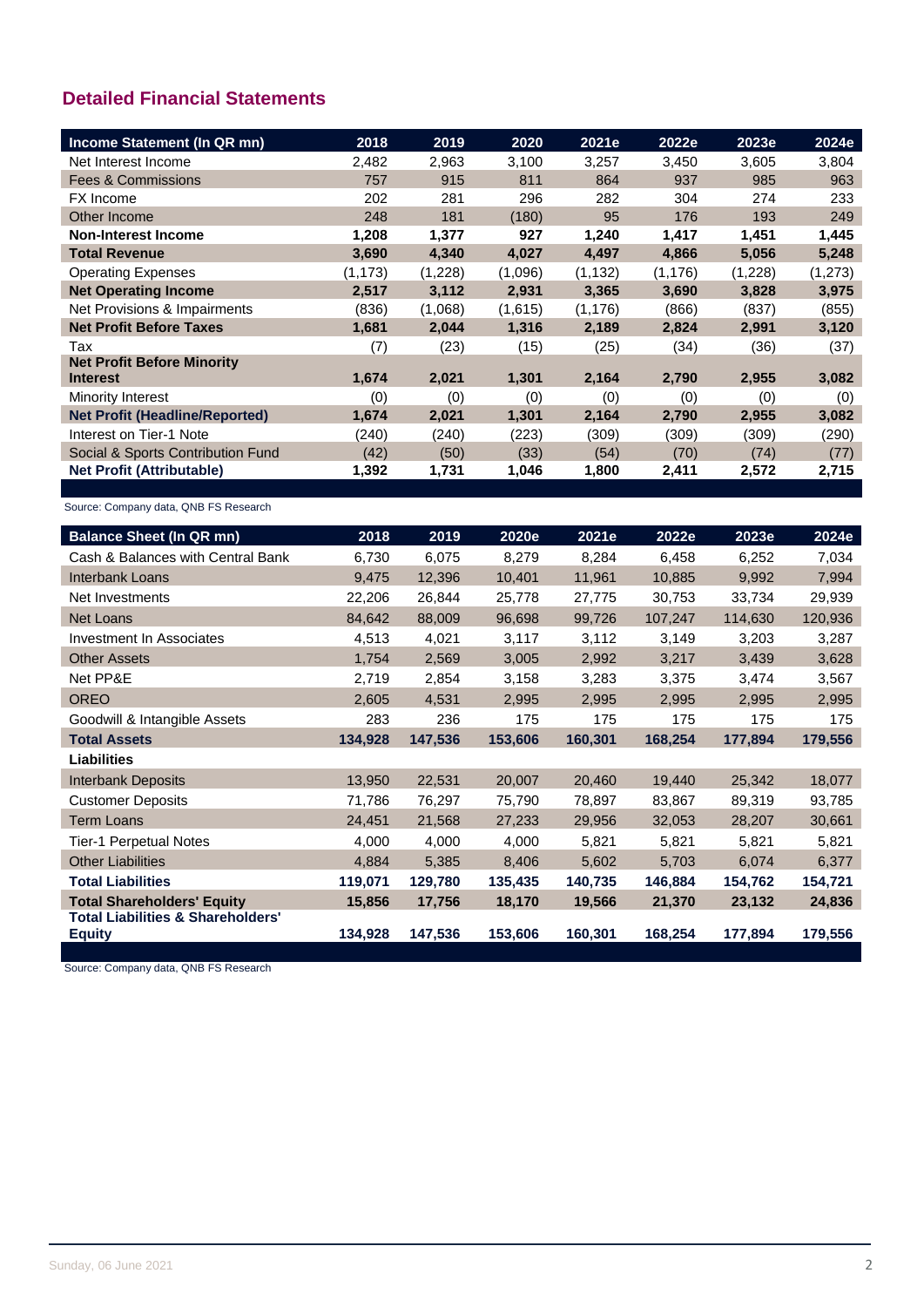## **Detailed Financial Statements**

| Income Statement (In QR mn)           | 2018     | 2019    | 2020    | 2021e    | 2022e    | 2023e   | 2024e   |
|---------------------------------------|----------|---------|---------|----------|----------|---------|---------|
| Net Interest Income                   | 2,482    | 2,963   | 3,100   | 3,257    | 3,450    | 3,605   | 3,804   |
| <b>Fees &amp; Commissions</b>         | 757      | 915     | 811     | 864      | 937      | 985     | 963     |
| FX Income                             | 202      | 281     | 296     | 282      | 304      | 274     | 233     |
| Other Income                          | 248      | 181     | (180)   | 95       | 176      | 193     | 249     |
| <b>Non-Interest Income</b>            | 1,208    | 1,377   | 927     | 1,240    | 1,417    | 1,451   | 1,445   |
| <b>Total Revenue</b>                  | 3,690    | 4,340   | 4,027   | 4,497    | 4,866    | 5,056   | 5,248   |
| <b>Operating Expenses</b>             | (1, 173) | (1,228) | (1,096) | (1, 132) | (1, 176) | (1,228) | (1,273) |
| <b>Net Operating Income</b>           | 2,517    | 3,112   | 2,931   | 3,365    | 3,690    | 3,828   | 3,975   |
| Net Provisions & Impairments          | (836)    | (1,068) | (1,615) | (1, 176) | (866)    | (837)   | (855)   |
| <b>Net Profit Before Taxes</b>        | 1,681    | 2,044   | 1,316   | 2,189    | 2,824    | 2,991   | 3,120   |
| Tax                                   | (7)      | (23)    | (15)    | (25)     | (34)     | (36)    | (37)    |
| <b>Net Profit Before Minority</b>     |          |         |         |          |          |         |         |
| <b>Interest</b>                       | 1,674    | 2,021   | 1,301   | 2,164    | 2,790    | 2,955   | 3,082   |
| Minority Interest                     | (0)      | (0)     | (0)     | (0)      | (0)      | (0)     | (0)     |
| <b>Net Profit (Headline/Reported)</b> | 1,674    | 2,021   | 1,301   | 2,164    | 2,790    | 2,955   | 3,082   |
| Interest on Tier-1 Note               | (240)    | (240)   | (223)   | (309)    | (309)    | (309)   | (290)   |
| Social & Sports Contribution Fund     | (42)     | (50)    | (33)    | (54)     | (70)     | (74)    | (77)    |
| <b>Net Profit (Attributable)</b>      | 1,392    | 1,731   | 1,046   | 1,800    | 2,411    | 2,572   | 2,715   |

Source: Company data, QNB FS Research

| <b>Balance Sheet (In QR mn)</b>                               | 2018    | 2019    | 2020e   | 2021e   | 2022e   | 2023e   | 2024e   |
|---------------------------------------------------------------|---------|---------|---------|---------|---------|---------|---------|
| Cash & Balances with Central Bank                             | 6,730   | 6,075   | 8,279   | 8,284   | 6,458   | 6,252   | 7,034   |
| Interbank Loans                                               | 9,475   | 12,396  | 10,401  | 11,961  | 10,885  | 9,992   | 7,994   |
| Net Investments                                               | 22,206  | 26,844  | 25,778  | 27,775  | 30,753  | 33,734  | 29,939  |
| <b>Net Loans</b>                                              | 84,642  | 88,009  | 96,698  | 99,726  | 107,247 | 114,630 | 120,936 |
| Investment In Associates                                      | 4,513   | 4,021   | 3,117   | 3,112   | 3,149   | 3,203   | 3,287   |
| <b>Other Assets</b>                                           | 1,754   | 2,569   | 3,005   | 2,992   | 3,217   | 3,439   | 3,628   |
| Net PP&E                                                      | 2,719   | 2,854   | 3,158   | 3,283   | 3,375   | 3,474   | 3,567   |
| <b>OREO</b>                                                   | 2,605   | 4,531   | 2,995   | 2,995   | 2,995   | 2,995   | 2,995   |
| Goodwill & Intangible Assets                                  | 283     | 236     | 175     | 175     | 175     | 175     | 175     |
| <b>Total Assets</b>                                           | 134,928 | 147,536 | 153,606 | 160,301 | 168,254 | 177,894 | 179,556 |
| <b>Liabilities</b>                                            |         |         |         |         |         |         |         |
| <b>Interbank Deposits</b>                                     | 13,950  | 22,531  | 20,007  | 20,460  | 19,440  | 25,342  | 18,077  |
| <b>Customer Deposits</b>                                      | 71,786  | 76,297  | 75,790  | 78,897  | 83,867  | 89,319  | 93,785  |
| <b>Term Loans</b>                                             | 24,451  | 21,568  | 27,233  | 29,956  | 32,053  | 28,207  | 30,661  |
| <b>Tier-1 Perpetual Notes</b>                                 | 4,000   | 4,000   | 4,000   | 5,821   | 5,821   | 5,821   | 5,821   |
| <b>Other Liabilities</b>                                      | 4,884   | 5,385   | 8,406   | 5,602   | 5,703   | 6,074   | 6,377   |
| <b>Total Liabilities</b>                                      | 119,071 | 129,780 | 135,435 | 140,735 | 146,884 | 154,762 | 154,721 |
| <b>Total Shareholders' Equity</b>                             | 15,856  | 17,756  | 18,170  | 19,566  | 21,370  | 23,132  | 24,836  |
| <b>Total Liabilities &amp; Shareholders'</b><br><b>Equity</b> | 134,928 | 147,536 | 153,606 | 160,301 | 168,254 | 177,894 | 179,556 |

Source: Company data, QNB FS Research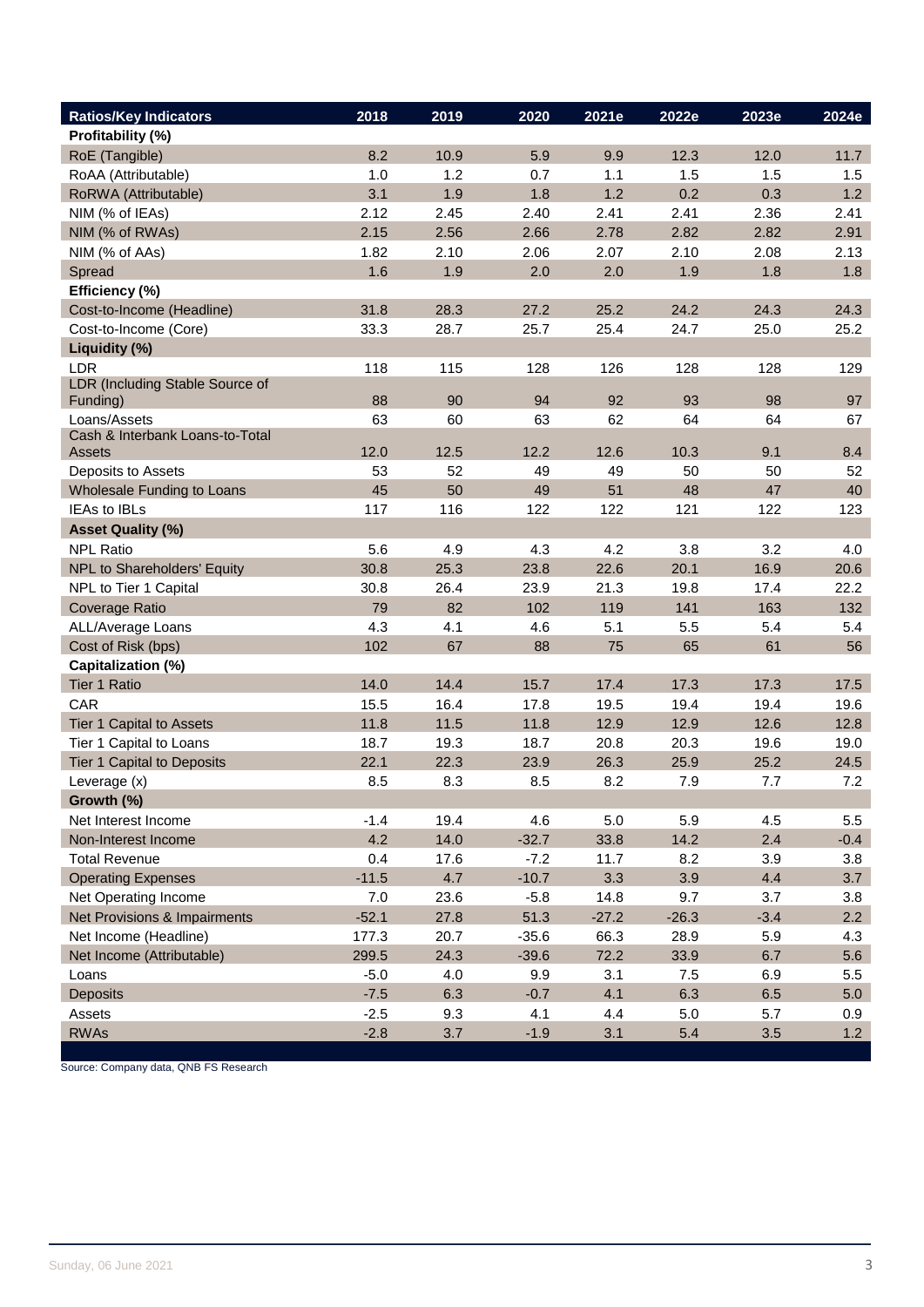| <b>Ratios/Key Indicators</b>              | 2018    | 2019 | 2020    | 2021e   | 2022e   | 2023e  | 2024e  |
|-------------------------------------------|---------|------|---------|---------|---------|--------|--------|
| Profitability (%)                         |         |      |         |         |         |        |        |
| RoE (Tangible)                            | 8.2     | 10.9 | 5.9     | 9.9     | 12.3    | 12.0   | 11.7   |
| RoAA (Attributable)                       | 1.0     | 1.2  | 0.7     | 1.1     | 1.5     | 1.5    | 1.5    |
| RoRWA (Attributable)                      | 3.1     | 1.9  | 1.8     | 1.2     | 0.2     | 0.3    | 1.2    |
| NIM (% of IEAs)                           | 2.12    | 2.45 | 2.40    | 2.41    | 2.41    | 2.36   | 2.41   |
| NIM (% of RWAs)                           | 2.15    | 2.56 | 2.66    | 2.78    | 2.82    | 2.82   | 2.91   |
| NIM (% of AAs)                            | 1.82    | 2.10 | 2.06    | 2.07    | 2.10    | 2.08   | 2.13   |
| Spread                                    | 1.6     | 1.9  | 2.0     | 2.0     | 1.9     | 1.8    | 1.8    |
| Efficiency (%)                            |         |      |         |         |         |        |        |
| Cost-to-Income (Headline)                 | 31.8    | 28.3 | 27.2    | 25.2    | 24.2    | 24.3   | 24.3   |
| Cost-to-Income (Core)                     | 33.3    | 28.7 | 25.7    | 25.4    | 24.7    | 25.0   | 25.2   |
| Liquidity (%)                             |         |      |         |         |         |        |        |
| LDR                                       | 118     | 115  | 128     | 126     | 128     | 128    | 129    |
| LDR (Including Stable Source of           |         |      |         |         |         |        |        |
| Funding)                                  | 88      | 90   | 94      | 92      | 93      | 98     | 97     |
| Loans/Assets                              | 63      | 60   | 63      | 62      | 64      | 64     | 67     |
| Cash & Interbank Loans-to-Total<br>Assets | 12.0    | 12.5 | 12.2    | 12.6    | 10.3    | 9.1    | 8.4    |
| Deposits to Assets                        | 53      | 52   | 49      | 49      | 50      | 50     | 52     |
| Wholesale Funding to Loans                | 45      | 50   | 49      | 51      | 48      | 47     | 40     |
| <b>IEAs to IBLs</b>                       | 117     | 116  | 122     | 122     | 121     | 122    | 123    |
| <b>Asset Quality (%)</b>                  |         |      |         |         |         |        |        |
| <b>NPL Ratio</b>                          | 5.6     | 4.9  | 4.3     | 4.2     | 3.8     | 3.2    | 4.0    |
| NPL to Shareholders' Equity               | 30.8    | 25.3 | 23.8    | 22.6    | 20.1    | 16.9   | 20.6   |
| NPL to Tier 1 Capital                     | 30.8    | 26.4 | 23.9    | 21.3    | 19.8    | 17.4   | 22.2   |
| <b>Coverage Ratio</b>                     | 79      | 82   | 102     | 119     | 141     | 163    | 132    |
| ALL/Average Loans                         | 4.3     | 4.1  | 4.6     | 5.1     | 5.5     | 5.4    | 5.4    |
| Cost of Risk (bps)                        | 102     | 67   | 88      | 75      | 65      | 61     | 56     |
| Capitalization (%)                        |         |      |         |         |         |        |        |
| Tier 1 Ratio                              | 14.0    | 14.4 | 15.7    | 17.4    | 17.3    | 17.3   | 17.5   |
| CAR                                       | 15.5    | 16.4 | 17.8    | 19.5    | 19.4    | 19.4   | 19.6   |
| Tier 1 Capital to Assets                  | 11.8    | 11.5 | 11.8    | 12.9    | 12.9    | 12.6   | 12.8   |
| Tier 1 Capital to Loans                   | 18.7    | 19.3 | 18.7    | 20.8    | 20.3    | 19.6   | 19.0   |
| Tier 1 Capital to Deposits                | 22.1    | 22.3 | 23.9    | 26.3    | 25.9    | 25.2   | 24.5   |
| Leverage (x)                              | 8.5     | 8.3  | 8.5     | 8.2     | 7.9     | 7.7    | 7.2    |
| Growth (%)                                |         |      |         |         |         |        |        |
| Net Interest Income                       | $-1.4$  | 19.4 | 4.6     | 5.0     | 5.9     | 4.5    | 5.5    |
| Non-Interest Income                       | 4.2     | 14.0 | $-32.7$ | 33.8    | 14.2    | 2.4    | $-0.4$ |
| <b>Total Revenue</b>                      | 0.4     | 17.6 | $-7.2$  | 11.7    | 8.2     | 3.9    | 3.8    |
| <b>Operating Expenses</b>                 | $-11.5$ | 4.7  | $-10.7$ | 3.3     | 3.9     | 4.4    | 3.7    |
| Net Operating Income                      | 7.0     | 23.6 | $-5.8$  | 14.8    | 9.7     | 3.7    | 3.8    |
| Net Provisions & Impairments              | $-52.1$ | 27.8 | 51.3    | $-27.2$ | $-26.3$ | $-3.4$ | 2.2    |
| Net Income (Headline)                     | 177.3   | 20.7 | $-35.6$ | 66.3    | 28.9    | 5.9    | 4.3    |
| Net Income (Attributable)                 | 299.5   | 24.3 | $-39.6$ | 72.2    | 33.9    | 6.7    | 5.6    |
| Loans                                     | $-5.0$  | 4.0  | 9.9     | 3.1     | 7.5     | 6.9    | 5.5    |
| Deposits                                  | $-7.5$  | 6.3  | $-0.7$  | 4.1     | 6.3     | 6.5    | 5.0    |
| Assets                                    | $-2.5$  | 9.3  | 4.1     | 4.4     | $5.0$   | 5.7    | 0.9    |
| <b>RWAs</b>                               | $-2.8$  | 3.7  | $-1.9$  | 3.1     | 5.4     | 3.5    | 1.2    |

Source: Company data, QNB FS Research